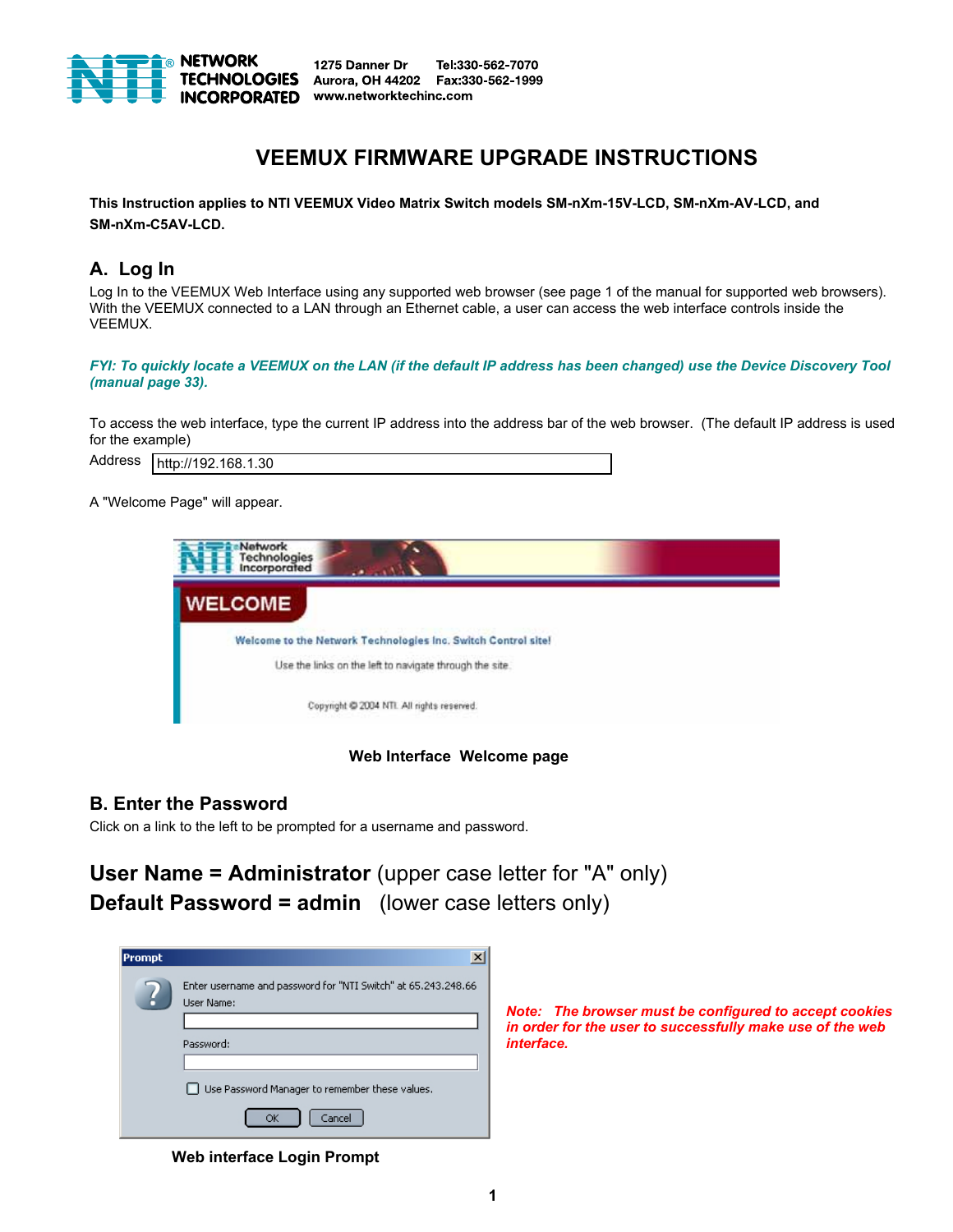

1275 Danner Dr Tel:330-562-7070 Aurora, OH 44202 Fax:330-562-1999 **INCORPORATED** www.networktechinc.com

# **VEEMUX FIRMWARE UPGRADE INSTRUCTIONS**

**This Instruction applies to NTI VEEMUX Video Matrix Switch models SM-nXm-15V-LCD, SM-nXm-AV-LCD, and SM-nXm-C5AV-LCD.** 

# **A. Log In**

Log In to the VEEMUX Web Interface using any supported web browser (see page 1 of the manual for supported web browsers). With the VEEMUX connected to a LAN through an Ethernet cable, a user can access the web interface controls inside the VEEMUX.

*FYI: To quickly locate a VEEMUX on the LAN (if the default IP address has been changed) use the Device Discovery Tool (manual page 33).* 

To access the web interface, type the current IP address into the address bar of the web browser. (The default IP address is used for the example)

Address http://192.168.1.30

A "Welcome Page" will appear.



 **Web Interface Welcome page** 

### **B. Enter the Password**

Click on a link to the left to be prompted for a username and password.

**User Name = Administrator** (upper case letter for "A" only) **Default Password = admin** (lower case letters only)

| <b>Prompt</b> | $\times$                                                                            |
|---------------|-------------------------------------------------------------------------------------|
|               | Enter username and password for "NTI Switch" at 65.243.248.66<br><b>Liser Name:</b> |
|               |                                                                                     |
|               | Password:                                                                           |
|               |                                                                                     |
|               | Use Password Manager to remember these values.<br>. .                               |
|               | Cancel<br>ОК                                                                        |

*Note: The browser must be configured to accept cookies in order for the user to successfully make use of the web interface.* 

 **Web interface Login Prompt**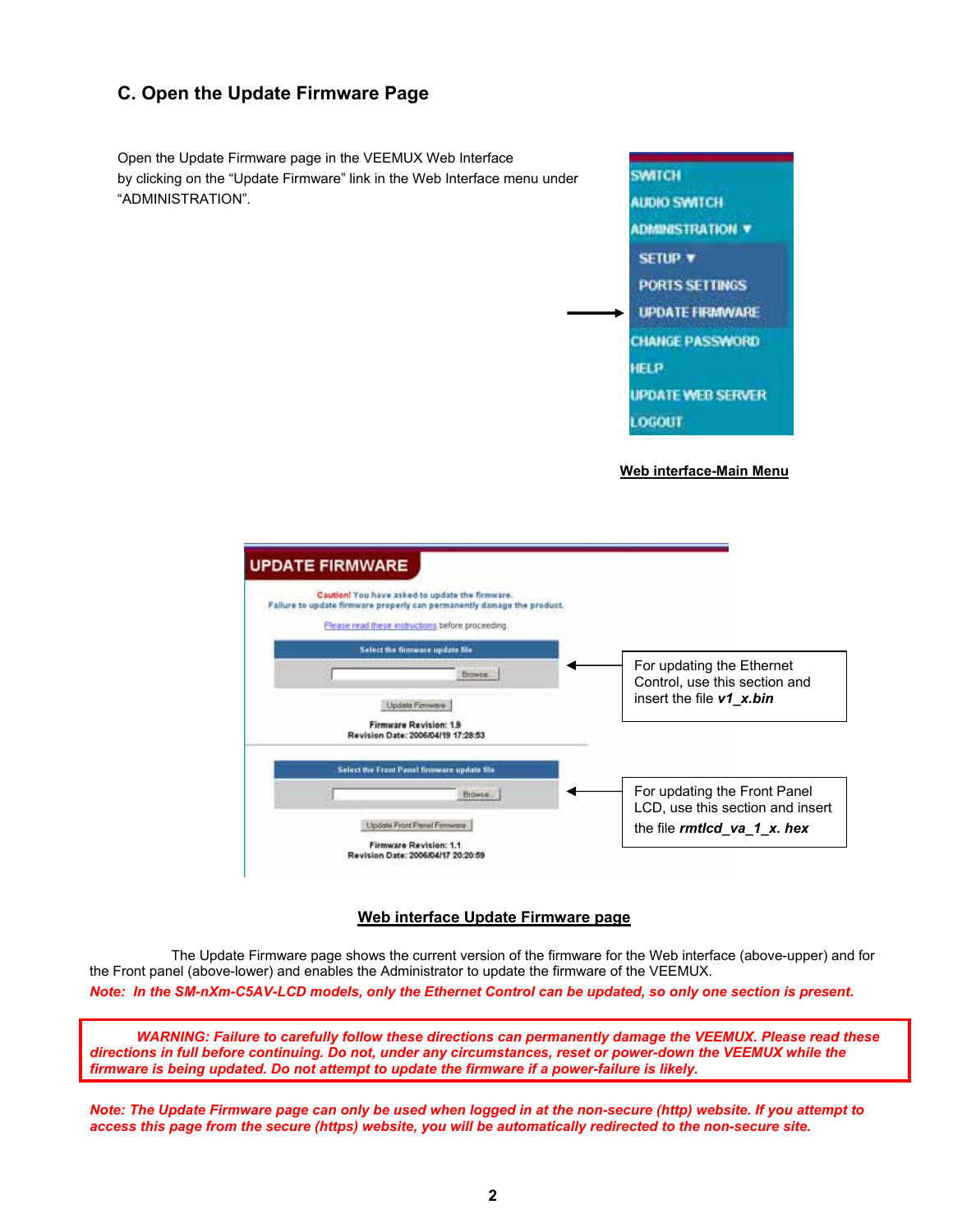# **C. Open the Update Firmware Page**

Open the Update Firmware page in the VEEMUX Web Interface by clicking on the "Update Firmware" link in the Web Interface menu under "ADMINISTRATION".



#### **Web interface-Main Menu**



#### **Web interface Update Firmware page**

 The Update Firmware page shows the current version of the firmware for the Web interface (above-upper) and for the Front panel (above-lower) and enables the Administrator to update the firmware of the VEEMUX. *Note: In the SM-nXm-C5AV-LCD models, only the Ethernet Control can be updated, so only one section is present.* 

 *WARNING: Failure to carefully follow these directions can permanently damage the VEEMUX. Please read these directions in full before continuing. Do not, under any circumstances, reset or power-down the VEEMUX while the firmware is being updated. Do not attempt to update the firmware if a power-failure is likely.* 

*Note: The Update Firmware page can only be used when logged in at the non-secure (http) website. If you attempt to access this page from the secure (https) website, you will be automatically redirected to the non-secure site.*